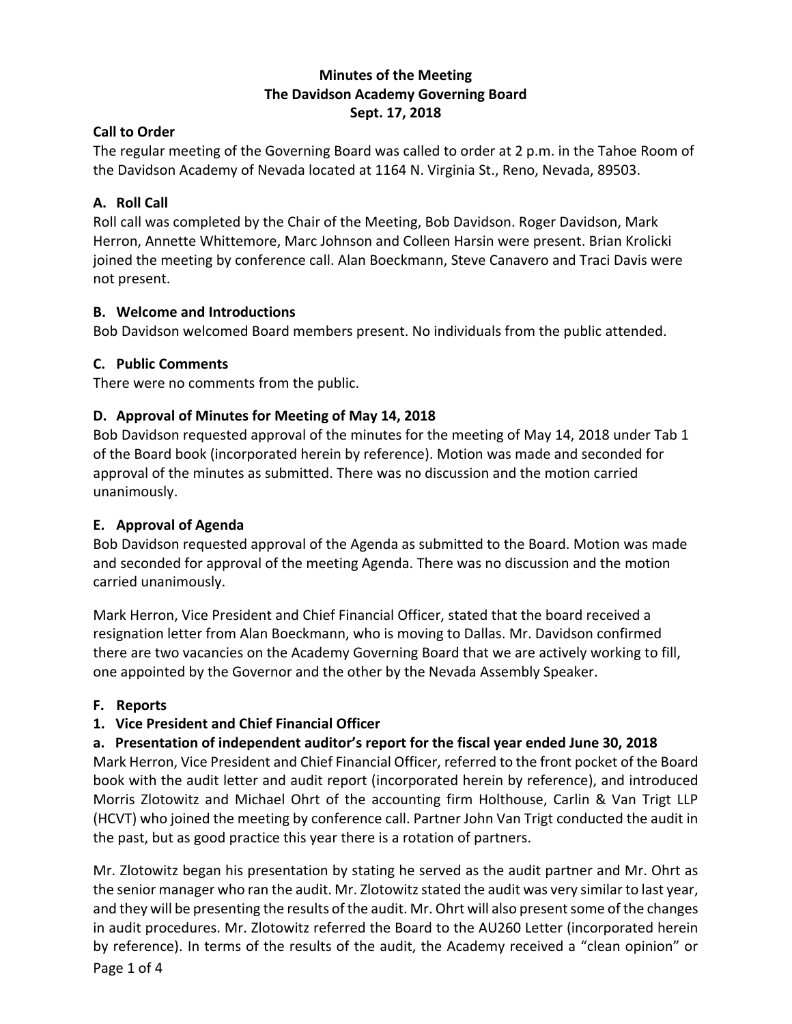## **Minutes of the Meeting The Davidson Academy Governing Board Sept. 17, 2018**

## **Call to Order**

The regular meeting of the Governing Board was called to order at 2 p.m. in the Tahoe Room of the Davidson Academy of Nevada located at 1164 N. Virginia St., Reno, Nevada, 89503.

# **A. Roll Call**

Roll call was completed by the Chair of the Meeting, Bob Davidson. Roger Davidson, Mark Herron, Annette Whittemore, Marc Johnson and Colleen Harsin were present. Brian Krolicki joined the meeting by conference call. Alan Boeckmann, Steve Canavero and Traci Davis were not present.

# **B. Welcome and Introductions**

Bob Davidson welcomed Board members present. No individuals from the public attended.

# **C. Public Comments**

There were no comments from the public.

# **D. Approval of Minutes for Meeting of May 14, 2018**

Bob Davidson requested approval of the minutes for the meeting of May 14, 2018 under Tab 1 of the Board book (incorporated herein by reference). Motion was made and seconded for approval of the minutes as submitted. There was no discussion and the motion carried unanimously.

# **E. Approval of Agenda**

Bob Davidson requested approval of the Agenda as submitted to the Board. Motion was made and seconded for approval of the meeting Agenda. There was no discussion and the motion carried unanimously.

Mark Herron, Vice President and Chief Financial Officer, stated that the board received a resignation letter from Alan Boeckmann, who is moving to Dallas. Mr. Davidson confirmed there are two vacancies on the Academy Governing Board that we are actively working to fill, one appointed by the Governor and the other by the Nevada Assembly Speaker.

# **F. Reports**

# **1. Vice President and Chief Financial Officer**

# **a. Presentation of independent auditor's report for the fiscal year ended June 30, 2018**

Mark Herron, Vice President and Chief Financial Officer, referred to the front pocket of the Board book with the audit letter and audit report (incorporated herein by reference), and introduced Morris Zlotowitz and Michael Ohrt of the accounting firm Holthouse, Carlin & Van Trigt LLP (HCVT) who joined the meeting by conference call. Partner John Van Trigt conducted the audit in the past, but as good practice this year there is a rotation of partners.

Mr. Zlotowitz began his presentation by stating he served as the audit partner and Mr. Ohrt as the senior manager who ran the audit. Mr. Zlotowitz stated the audit was very similar to last year, and they will be presenting the results of the audit. Mr. Ohrt will also present some of the changes in audit procedures. Mr. Zlotowitz referred the Board to the AU260 Letter (incorporated herein by reference). In terms of the results of the audit, the Academy received a "clean opinion" or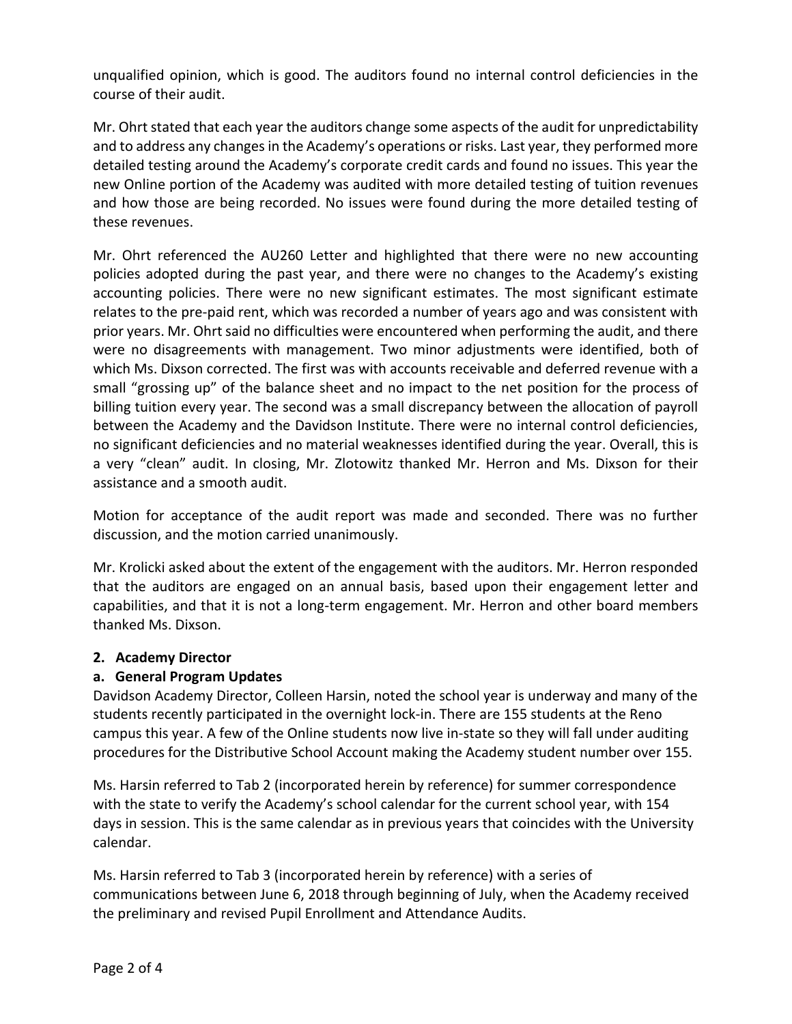unqualified opinion, which is good. The auditors found no internal control deficiencies in the course of their audit.

Mr. Ohrt stated that each year the auditors change some aspects of the audit for unpredictability and to address any changes in the Academy's operations or risks. Last year, they performed more detailed testing around the Academy's corporate credit cards and found no issues. This year the new Online portion of the Academy was audited with more detailed testing of tuition revenues and how those are being recorded. No issues were found during the more detailed testing of these revenues.

Mr. Ohrt referenced the AU260 Letter and highlighted that there were no new accounting policies adopted during the past year, and there were no changes to the Academy's existing accounting policies. There were no new significant estimates. The most significant estimate relates to the pre-paid rent, which was recorded a number of years ago and was consistent with prior years. Mr. Ohrt said no difficulties were encountered when performing the audit, and there were no disagreements with management. Two minor adjustments were identified, both of which Ms. Dixson corrected. The first was with accounts receivable and deferred revenue with a small "grossing up" of the balance sheet and no impact to the net position for the process of billing tuition every year. The second was a small discrepancy between the allocation of payroll between the Academy and the Davidson Institute. There were no internal control deficiencies, no significant deficiencies and no material weaknesses identified during the year. Overall, this is a very "clean" audit. In closing, Mr. Zlotowitz thanked Mr. Herron and Ms. Dixson for their assistance and a smooth audit.

Motion for acceptance of the audit report was made and seconded. There was no further discussion, and the motion carried unanimously.

Mr. Krolicki asked about the extent of the engagement with the auditors. Mr. Herron responded that the auditors are engaged on an annual basis, based upon their engagement letter and capabilities, and that it is not a long-term engagement. Mr. Herron and other board members thanked Ms. Dixson.

#### **2. Academy Director**

## **a. General Program Updates**

Davidson Academy Director, Colleen Harsin, noted the school year is underway and many of the students recently participated in the overnight lock-in. There are 155 students at the Reno campus this year. A few of the Online students now live in-state so they will fall under auditing procedures for the Distributive School Account making the Academy student number over 155.

Ms. Harsin referred to Tab 2 (incorporated herein by reference) for summer correspondence with the state to verify the Academy's school calendar for the current school year, with 154 days in session. This is the same calendar as in previous years that coincides with the University calendar.

Ms. Harsin referred to Tab 3 (incorporated herein by reference) with a series of communications between June 6, 2018 through beginning of July, when the Academy received the preliminary and revised Pupil Enrollment and Attendance Audits.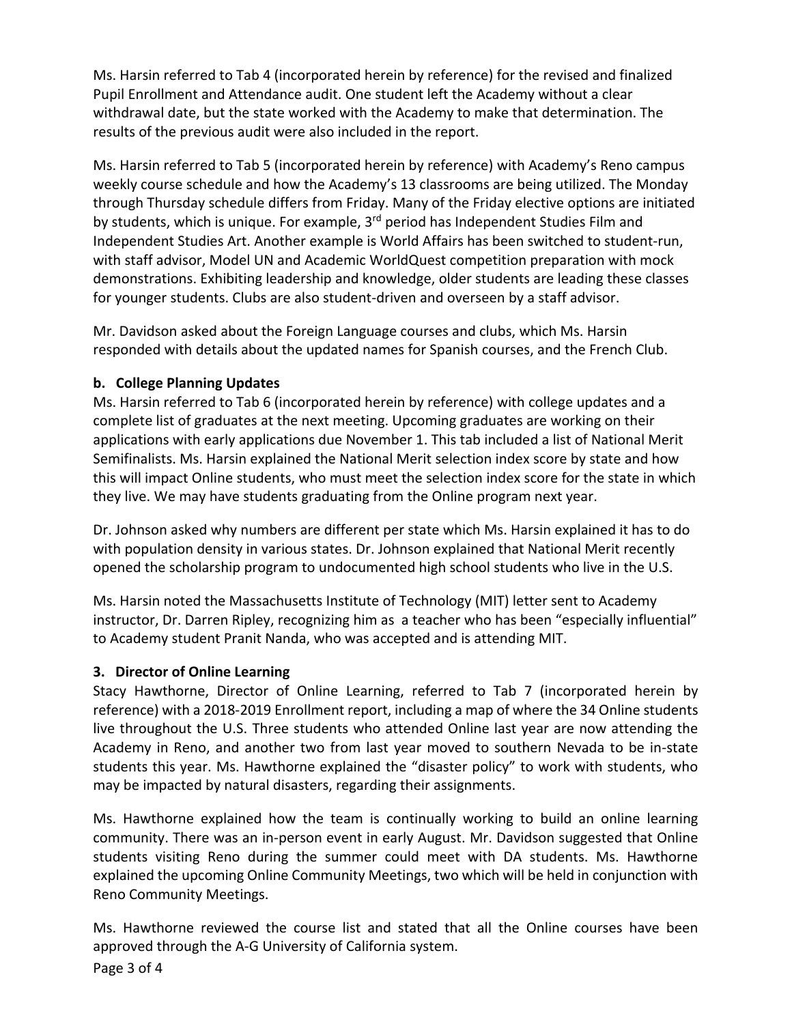Ms. Harsin referred to Tab 4 (incorporated herein by reference) for the revised and finalized Pupil Enrollment and Attendance audit. One student left the Academy without a clear withdrawal date, but the state worked with the Academy to make that determination. The results of the previous audit were also included in the report.

Ms. Harsin referred to Tab 5 (incorporated herein by reference) with Academy's Reno campus weekly course schedule and how the Academy's 13 classrooms are being utilized. The Monday through Thursday schedule differs from Friday. Many of the Friday elective options are initiated by students, which is unique. For example,  $3<sup>rd</sup>$  period has Independent Studies Film and Independent Studies Art. Another example is World Affairs has been switched to student-run, with staff advisor, Model UN and Academic WorldQuest competition preparation with mock demonstrations. Exhibiting leadership and knowledge, older students are leading these classes for younger students. Clubs are also student-driven and overseen by a staff advisor.

Mr. Davidson asked about the Foreign Language courses and clubs, which Ms. Harsin responded with details about the updated names for Spanish courses, and the French Club.

## **b. College Planning Updates**

Ms. Harsin referred to Tab 6 (incorporated herein by reference) with college updates and a complete list of graduates at the next meeting. Upcoming graduates are working on their applications with early applications due November 1. This tab included a list of National Merit Semifinalists. Ms. Harsin explained the National Merit selection index score by state and how this will impact Online students, who must meet the selection index score for the state in which they live. We may have students graduating from the Online program next year.

Dr. Johnson asked why numbers are different per state which Ms. Harsin explained it has to do with population density in various states. Dr. Johnson explained that National Merit recently opened the scholarship program to undocumented high school students who live in the U.S.

Ms. Harsin noted the Massachusetts Institute of Technology (MIT) letter sent to Academy instructor, Dr. Darren Ripley, recognizing him as a teacher who has been "especially influential" to Academy student Pranit Nanda, who was accepted and is attending MIT.

## **3. Director of Online Learning**

Stacy Hawthorne, Director of Online Learning, referred to Tab 7 (incorporated herein by reference) with a 2018-2019 Enrollment report, including a map of where the 34 Online students live throughout the U.S. Three students who attended Online last year are now attending the Academy in Reno, and another two from last year moved to southern Nevada to be in-state students this year. Ms. Hawthorne explained the "disaster policy" to work with students, who may be impacted by natural disasters, regarding their assignments.

Ms. Hawthorne explained how the team is continually working to build an online learning community. There was an in-person event in early August. Mr. Davidson suggested that Online students visiting Reno during the summer could meet with DA students. Ms. Hawthorne explained the upcoming Online Community Meetings, two which will be held in conjunction with Reno Community Meetings.

Ms. Hawthorne reviewed the course list and stated that all the Online courses have been approved through the A-G University of California system.